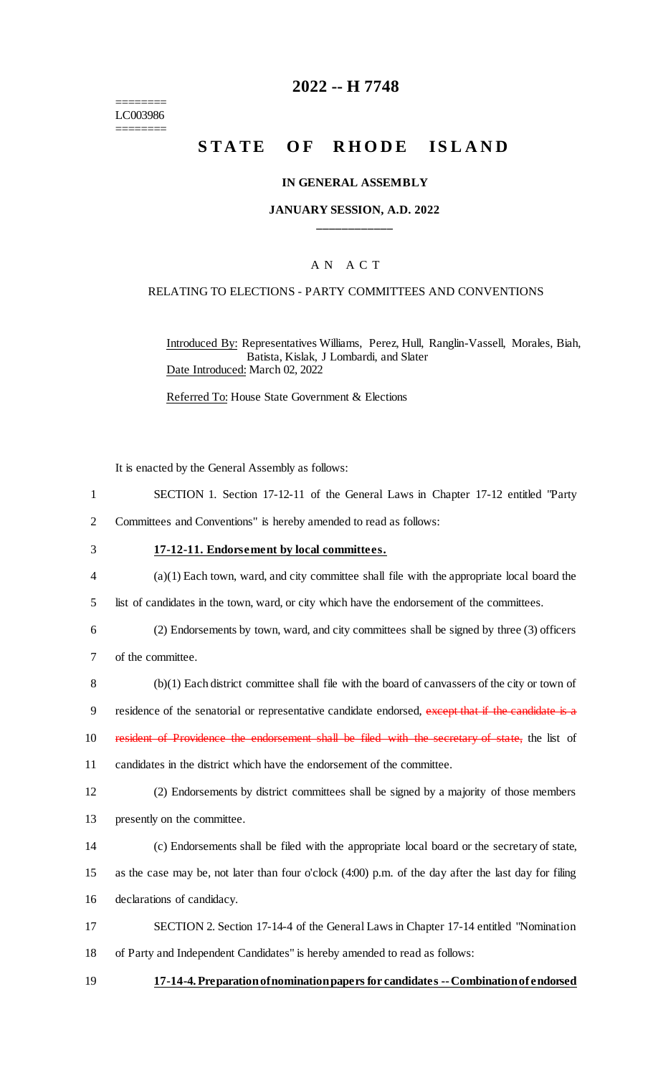======== LC003986 ========

# **2022 -- H 7748**

# STATE OF RHODE ISLAND

#### **IN GENERAL ASSEMBLY**

#### **JANUARY SESSION, A.D. 2022 \_\_\_\_\_\_\_\_\_\_\_\_**

#### A N A C T

#### RELATING TO ELECTIONS - PARTY COMMITTEES AND CONVENTIONS

Introduced By: Representatives Williams, Perez, Hull, Ranglin-Vassell, Morales, Biah, Batista, Kislak, J Lombardi, and Slater Date Introduced: March 02, 2022

Referred To: House State Government & Elections

It is enacted by the General Assembly as follows:

1 SECTION 1. Section 17-12-11 of the General Laws in Chapter 17-12 entitled "Party

2 Committees and Conventions" is hereby amended to read as follows:

#### 3 **17-12-11. Endorsement by local committees.**

- 4 (a)(1) Each town, ward, and city committee shall file with the appropriate local board the
- 5 list of candidates in the town, ward, or city which have the endorsement of the committees.
- 6 (2) Endorsements by town, ward, and city committees shall be signed by three (3) officers
- 7 of the committee.
- 8 (b)(1) Each district committee shall file with the board of canvassers of the city or town of
- 9 residence of the senatorial or representative candidate endorsed, except that if the candidate is a
- 10 resident of Providence the endorsement shall be filed with the secretary of state, the list of
- 11 candidates in the district which have the endorsement of the committee.
- 12 (2) Endorsements by district committees shall be signed by a majority of those members 13 presently on the committee.
- 14 (c) Endorsements shall be filed with the appropriate local board or the secretary of state,
- 15 as the case may be, not later than four o'clock (4:00) p.m. of the day after the last day for filing
- 16 declarations of candidacy.

17 SECTION 2. Section 17-14-4 of the General Laws in Chapter 17-14 entitled "Nomination

- 18 of Party and Independent Candidates" is hereby amended to read as follows:
- 19 **17-14-4. Preparation of nomination papers for candidates --Combination of endorsed**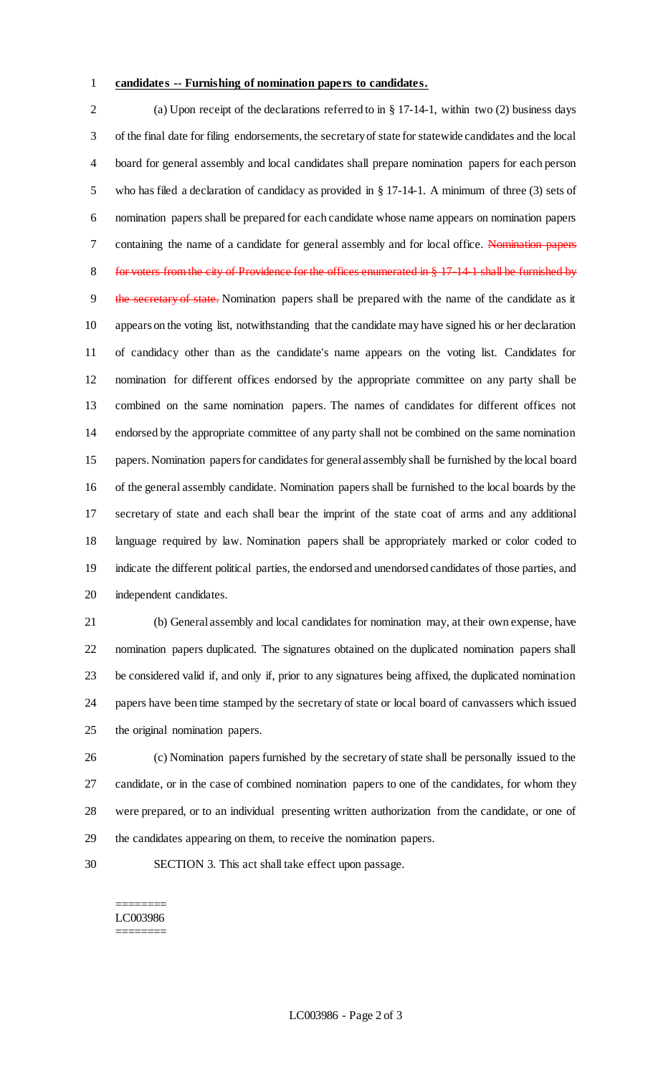#### **candidates -- Furnishing of nomination papers to candidates.**

 (a) Upon receipt of the declarations referred to in § 17-14-1, within two (2) business days of the final date for filing endorsements, the secretary of state for statewide candidates and the local board for general assembly and local candidates shall prepare nomination papers for each person who has filed a declaration of candidacy as provided in § 17-14-1. A minimum of three (3) sets of nomination papers shall be prepared for each candidate whose name appears on nomination papers 7 containing the name of a candidate for general assembly and for local office. Nomination papers 8 for voters from the city of Providence for the offices enumerated in § 17-14-1 shall be furnished by 9 the secretary of state. Nomination papers shall be prepared with the name of the candidate as it appears on the voting list, notwithstanding that the candidate may have signed his or her declaration of candidacy other than as the candidate's name appears on the voting list. Candidates for nomination for different offices endorsed by the appropriate committee on any party shall be combined on the same nomination papers. The names of candidates for different offices not endorsed by the appropriate committee of any party shall not be combined on the same nomination papers. Nomination papers for candidates for general assembly shall be furnished by the local board of the general assembly candidate. Nomination papers shall be furnished to the local boards by the secretary of state and each shall bear the imprint of the state coat of arms and any additional language required by law. Nomination papers shall be appropriately marked or color coded to indicate the different political parties, the endorsed and unendorsed candidates of those parties, and independent candidates.

 (b) General assembly and local candidates for nomination may, at their own expense, have nomination papers duplicated. The signatures obtained on the duplicated nomination papers shall be considered valid if, and only if, prior to any signatures being affixed, the duplicated nomination papers have been time stamped by the secretary of state or local board of canvassers which issued the original nomination papers.

 (c) Nomination papers furnished by the secretary of state shall be personally issued to the candidate, or in the case of combined nomination papers to one of the candidates, for whom they were prepared, or to an individual presenting written authorization from the candidate, or one of the candidates appearing on them, to receive the nomination papers.

SECTION 3. This act shall take effect upon passage.

#### ======== LC003986 ========